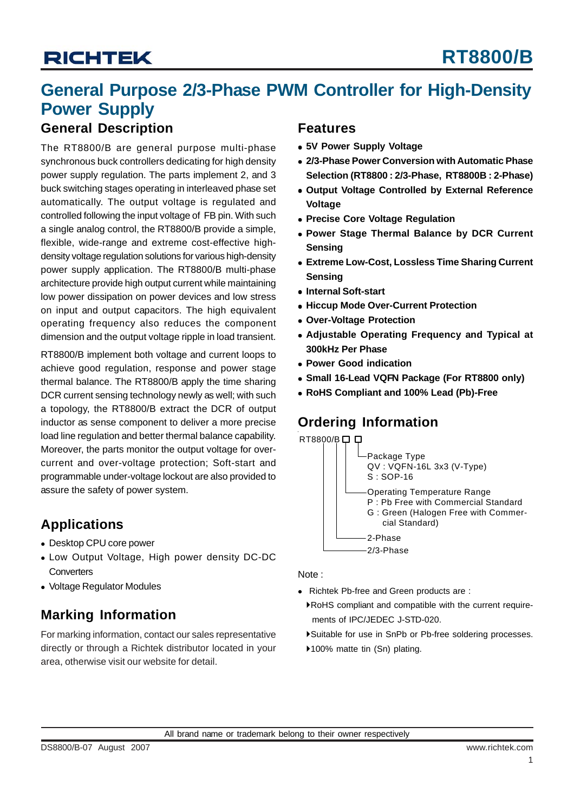# **General Purpose 2/3-Phase PWM Controller for High-Density Power Supply**

## **General Description**

The RT8800/B are general purpose multi-phase synchronous buck controllers dedicating for high density power supply regulation. The parts implement 2, and 3 buck switching stages operating in interleaved phase set automatically. The output voltage is regulated and controlled following the input voltage of FB pin. With such a single analog control, the RT8800/B provide a simple, flexible, wide-range and extreme cost-effective highdensity voltage regulation solutions for various high-density power supply application. The RT8800/B multi-phase architecture provide high output current while maintaining low power dissipation on power devices and low stress on input and output capacitors. The high equivalent operating frequency also reduces the component dimension and the output voltage ripple in load transient.

RT8800/B implement both voltage and current loops to achieve good regulation, response and power stage thermal balance. The RT8800/B apply the time sharing DCR current sensing technology newly as well; with such a topology, the RT8800/B extract the DCR of output inductor as sense component to deliver a more precise load line regulation and better thermal balance capability. Moreover, the parts monitor the output voltage for overcurrent and over-voltage protection; Soft-start and programmable under-voltage lockout are also provided to assure the safety of power system.

## **Applications**

- Desktop CPU core power
- Low Output Voltage, High power density DC-DC **Converters**
- Voltage Regulator Modules

## **Marking Information**

For marking information, contact our sales representative directly or through a Richtek distributor located in your area, otherwise visit our website for detail.

## **Features**

- $\bullet$  **5V Power Supply Voltage**
- **2/3-Phase Power Conversion with Automatic Phase Selection (RT8800 : 2/3-Phase, RT8800B : 2-Phase)**
- **Output Voltage Controlled by External Reference Voltage**
- **Precise Core Voltage Regulation**
- **Power Stage Thermal Balance by DCR Current Sensing**
- **Extreme Low-Cost, Lossless Time Sharing Current Sensing**
- **Internal Soft-start**
- **Hiccup Mode Over-Current Protection**
- <sup>z</sup> **Over-Voltage Protection**
- **Adiustable Operating Frequency and Typical at 300kHz Per Phase**
- <sup>z</sup> **Power Good indication**
- Small 16-Lead VQFN Package (For RT8800 only)
- <sup>z</sup> **RoHS Compliant and 100% Lead (Pb)-Free**

## **Ordering Information**

RT8800/B口口



Note :

- Richtek Pb-free and Green products are :
	- `RoHS compliant and compatible with the current require ments of IPC/JEDEC J-STD-020.
	- `Suitable for use in SnPb or Pb-free soldering processes.
	- ▶100% matte tin (Sn) plating.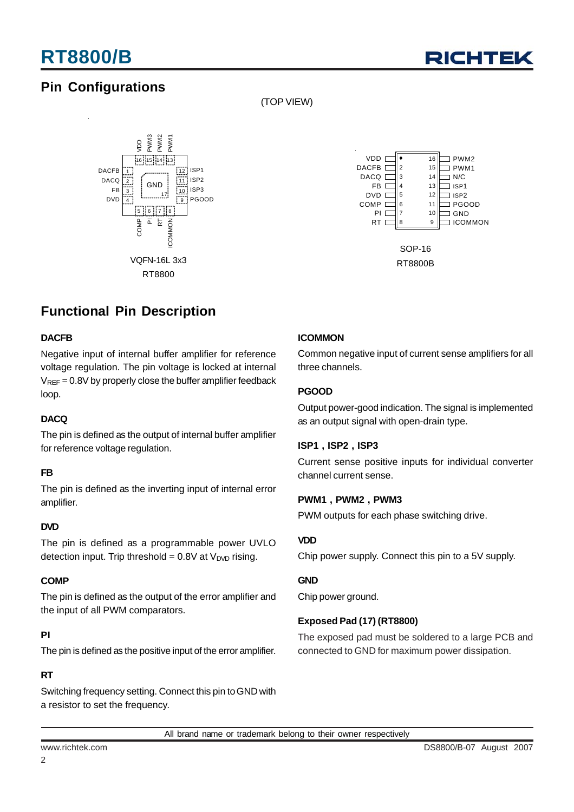

## **Pin Configurations**

(TOP VIEW)





RT8800B

## **Functional Pin Description**

### **DACFB**

Negative input of internal buffer amplifier for reference voltage regulation. The pin voltage is locked at internal  $V<sub>REF</sub> = 0.8V$  by properly close the buffer amplifier feedback loop.

### **DACQ**

The pin is defined as the output of internal buffer amplifier for reference voltage regulation.

### **FB**

The pin is defined as the inverting input of internal error amplifier.

#### **DVD**

The pin is defined as a programmable power UVLO detection input. Trip threshold =  $0.8V$  at  $V<sub>DVD</sub>$  rising.

### **COMP**

The pin is defined as the output of the error amplifier and the input of all PWM comparators.

### **PI**

The pin is defined as the positive input of the error amplifier.

### **RT**

Switching frequency setting. Connect this pin to GND with a resistor to set the frequency.

### **ICOMMON**

Common negative input of current sense amplifiers for all three channels.

### **PGOOD**

Output power-good indication. The signal is implemented as an output signal with open-drain type.

### **ISP1 , ISP2 , ISP3**

Current sense positive inputs for individual converter channel current sense.

#### **PWM1 , PWM2 , PWM3**

PWM outputs for each phase switching drive.

### **VDD**

Chip power supply. Connect this pin to a 5V supply.

### **GND**

Chip power ground.

### **Exposed Pad (17) (RT8800)**

The exposed pad must be soldered to a large PCB and connected to GND for maximum power dissipation.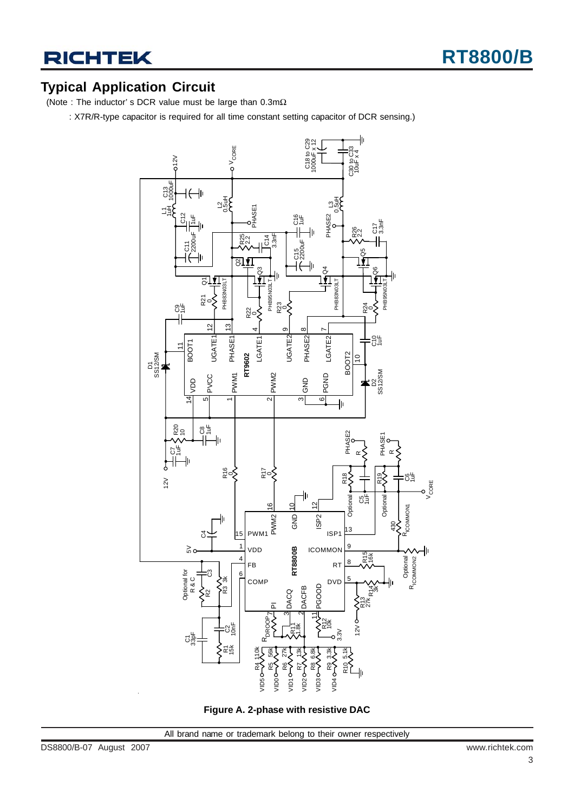## **Typical Application Circuit**

(Note : The inductor' s DCR value must be large than 0.3mΩ

: X7R/R-type capacitor is required for all time constant setting capacitor of DCR sensing.)



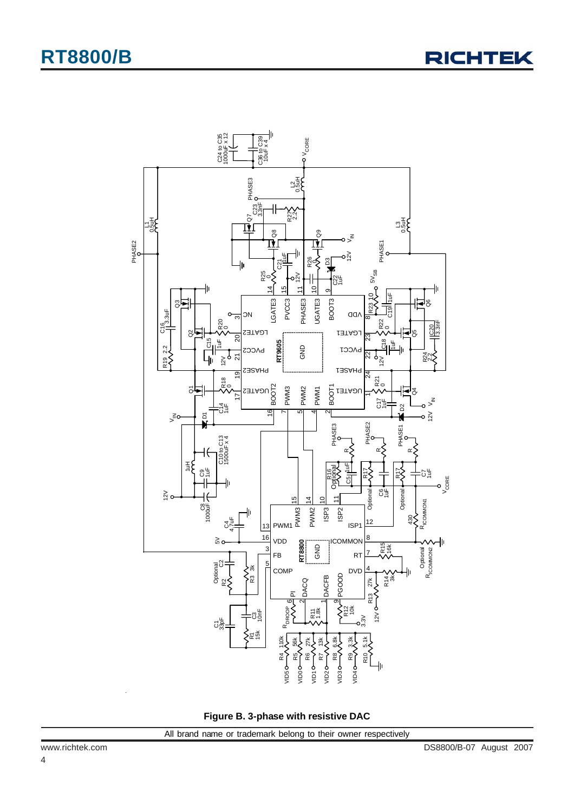

**Figure B. 3-phase with resistive DAC**

4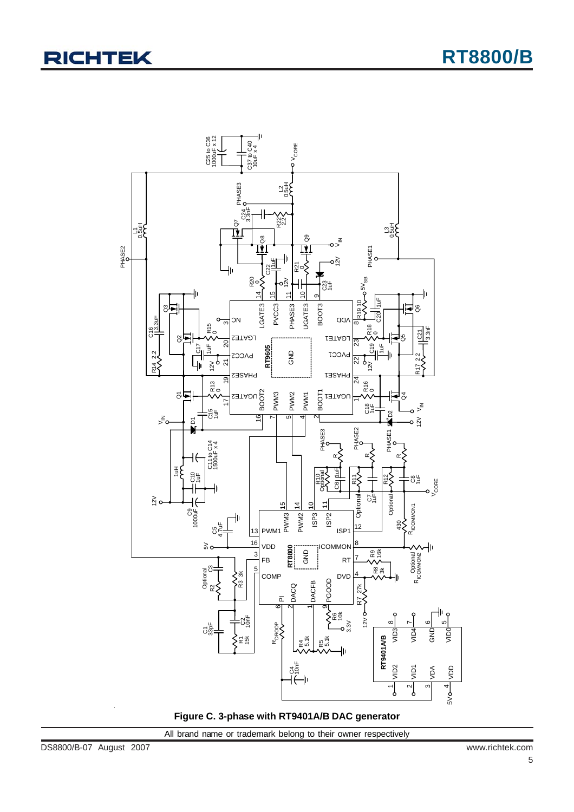

**Figure C. 3-phase with RT9401A/B DAC generator**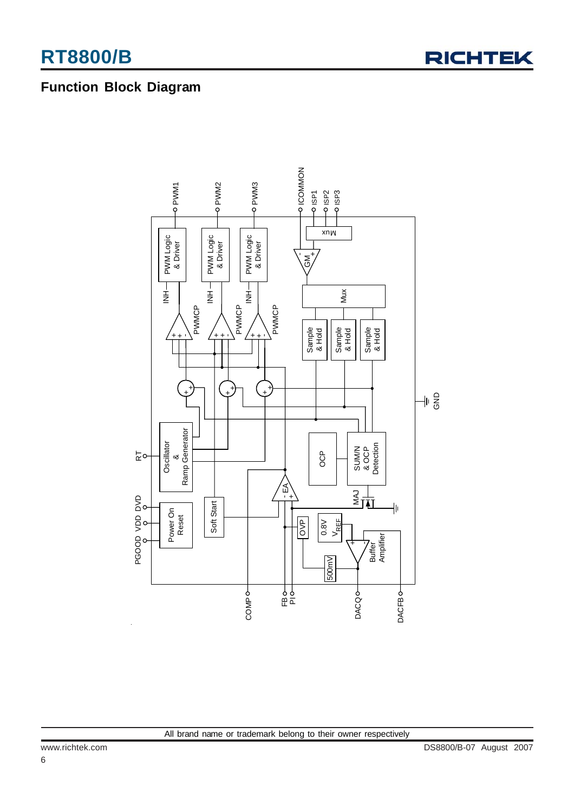

## **Function Block Diagram**

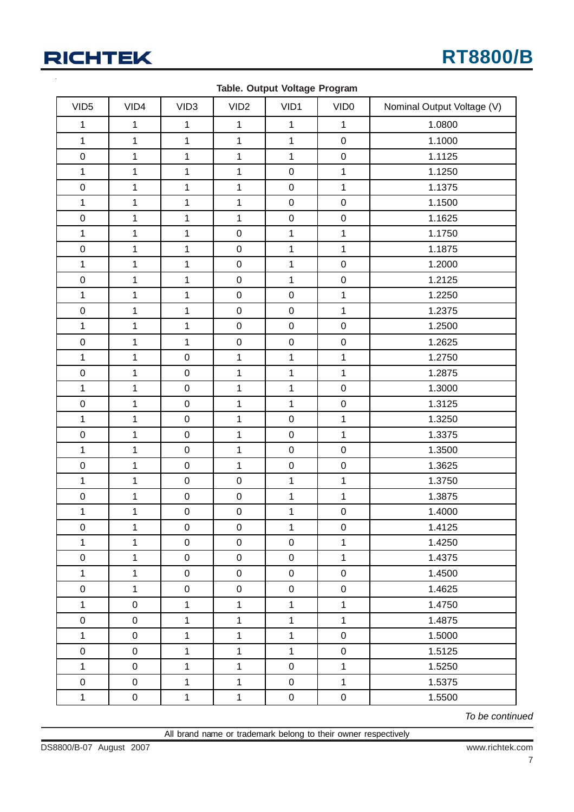

| VID <sub>5</sub> | VID4                | VID <sub>3</sub> | VID <sub>2</sub>    | VID1             | VID <sub>0</sub> | Nominal Output Voltage (V) |
|------------------|---------------------|------------------|---------------------|------------------|------------------|----------------------------|
| $\mathbf{1}$     | $\mathbf{1}$        | $\mathbf 1$      | $\mathbf{1}$        | $\mathbf{1}$     | $\mathbf{1}$     | 1.0800                     |
| $\mathbf{1}$     | 1                   | 1                | $\mathbf{1}$        | $\mathbf{1}$     | $\pmb{0}$        | 1.1000                     |
| $\mathbf 0$      | 1                   | 1                | $\mathbf{1}$        | $\mathbf{1}$     | $\mathbf 0$      | 1.1125                     |
| $\mathbf{1}$     | $\mathbf{1}$        | $\mathbf{1}$     | $\mathbf{1}$        | $\mathbf 0$      | $\mathbf{1}$     | 1.1250                     |
| $\pmb{0}$        | $\mathbf{1}$        | $\mathbf 1$      | $\mathbf{1}$        | $\mathbf 0$      | $\mathbf{1}$     | 1.1375                     |
| $\mathbf{1}$     | 1                   | 1                | $\mathbf{1}$        | $\mathbf 0$      | $\mathbf 0$      | 1.1500                     |
| $\mathbf 0$      | $\mathbf{1}$        | $\mathbf{1}$     | $\mathbf{1}$        | $\mathbf 0$      | $\mathbf 0$      | 1.1625                     |
| $\mathbf{1}$     | 1                   | $\mathbf 1$      | $\pmb{0}$           | $\mathbf{1}$     | $\mathbf{1}$     | 1.1750                     |
| $\mathbf 0$      | 1                   | 1                | $\pmb{0}$           | $\mathbf{1}$     | $\mathbf 1$      | 1.1875                     |
| $\mathbf{1}$     | $\mathbf{1}$        | $\mathbf{1}$     | $\mathbf 0$         | $\mathbf{1}$     | $\pmb{0}$        | 1.2000                     |
| $\mathbf 0$      | $\mathbf{1}$        | 1                | $\pmb{0}$           | $\mathbf{1}$     | $\mathbf 0$      | 1.2125                     |
| $\mathbf 1$      | 1                   | 1                | $\pmb{0}$           | $\mathbf 0$      | $\mathbf{1}$     | 1.2250                     |
| $\mathbf 0$      | $\mathbf{1}$        | $\mathbf{1}$     | $\mathsf 0$         | $\mathbf 0$      | $\mathbf{1}$     | 1.2375                     |
| $\mathbf{1}$     | $\mathbf{1}$        | $\mathbf 1$      | $\pmb{0}$           | $\mathbf 0$      | $\pmb{0}$        | 1.2500                     |
| $\mathbf 0$      | 1                   | $\mathbf{1}$     | $\pmb{0}$           | $\mathbf 0$      | $\mathbf 0$      | 1.2625                     |
| $\mathbf{1}$     | 1                   | $\pmb{0}$        | $\mathbf{1}$        | $\mathbf{1}$     | $\mathbf{1}$     | 1.2750                     |
| $\pmb{0}$        | $\mathbf{1}$        | $\pmb{0}$        | $\mathbf{1}$        | $\mathbf{1}$     | $\mathbf{1}$     | 1.2875                     |
| $\mathbf{1}$     | 1                   | $\pmb{0}$        | $\mathbf{1}$        | $\mathbf{1}$     | $\mathbf 0$      | 1.3000                     |
| $\pmb{0}$        | 1                   | $\pmb{0}$        | $\mathbf{1}$        | $\mathbf{1}$     | $\mathbf 0$      | 1.3125                     |
| $\mathbf{1}$     | $\mathbf{1}$        | $\pmb{0}$        | $\mathbf{1}$        | $\mathbf 0$      | $\mathbf{1}$     | 1.3250                     |
| $\pmb{0}$        | 1                   | $\pmb{0}$        | $\mathbf{1}$        | $\mathbf 0$      | $\mathbf{1}$     | 1.3375                     |
| $\mathbf{1}$     | 1                   | $\pmb{0}$        | $\mathbf{1}$        | $\pmb{0}$        | $\mathbf 0$      | 1.3500                     |
| $\pmb{0}$        | $\mathbf{1}$        | $\pmb{0}$        | $\mathbf{1}$        | $\mathbf 0$      | $\pmb{0}$        | 1.3625                     |
| $\mathbf{1}$     | 1                   | $\pmb{0}$        | $\pmb{0}$           | $\mathbf{1}$     | $\mathbf{1}$     | 1.3750                     |
| $\mathbf 0$      | 1                   | $\pmb{0}$        | $\pmb{0}$           | $\mathbf{1}$     | $\mathbf{1}$     | 1.3875                     |
| $\mathbf{1}$     | 1                   | $\pmb{0}$        | $\boldsymbol{0}$    | $\mathbf{1}$     | $\pmb{0}$        | 1.4000                     |
| $\mathbf 0$      | $\mathbf{1}$        | $\pmb{0}$        | $\pmb{0}$           | $\mathbf{1}$     | $\pmb{0}$        | 1.4125                     |
| $\mathbf{1}$     | 1                   | $\mathbf 0$      | $\mathsf{O}\xspace$ | $\pmb{0}$        | $\mathbf{1}$     | 1.4250                     |
| $\pmb{0}$        | $\mathbf{1}$        | $\mathbf 0$      | $\mathbf 0$         | $\pmb{0}$        | $\mathbf{1}$     | 1.4375                     |
| $\mathbf{1}$     | $\mathbf{1}$        | $\mathsf{O}$     | $\mathbf 0$         | $\pmb{0}$        | $\mathbf 0$      | 1.4500                     |
| $\pmb{0}$        | $\mathbf{1}$        | $\pmb{0}$        | $\mathsf{O}\xspace$ | $\pmb{0}$        | $\pmb{0}$        | 1.4625                     |
| $\mathbf{1}$     | $\mathsf 0$         | $\mathbf{1}$     | $\mathbf{1}$        | $\mathbf{1}$     | $\mathbf{1}$     | 1.4750                     |
| $\boldsymbol{0}$ | $\pmb{0}$           | $\mathbf{1}$     | $\mathbf{1}$        | $\mathbf{1}$     | $\mathbf{1}$     | 1.4875                     |
| $\mathbf{1}$     | $\pmb{0}$           | $\mathbf 1$      | $\mathbf{1}$        | $\mathbf{1}$     | $\pmb{0}$        | 1.5000                     |
| $\pmb{0}$        | $\mathbf 0$         | $\mathbf{1}$     | $\mathbf{1}$        | $\mathbf{1}$     | $\pmb{0}$        | 1.5125                     |
| $\mathbf{1}$     | $\mathsf{O}\xspace$ | $\mathbf{1}$     | $\mathbf{1}$        | $\pmb{0}$        | $\mathbf{1}$     | 1.5250                     |
| $\pmb{0}$        | $\boldsymbol{0}$    | $\mathbf{1}$     | $\mathbf{1}$        | $\pmb{0}$        | $\mathbf{1}$     | 1.5375                     |
| $\mathbf 1$      | $\boldsymbol{0}$    | $\mathbf{1}$     | $\mathbf{1}$        | $\boldsymbol{0}$ | $\mathbf 0$      | 1.5500                     |

**Table. Output Voltage Program**

*To be continued*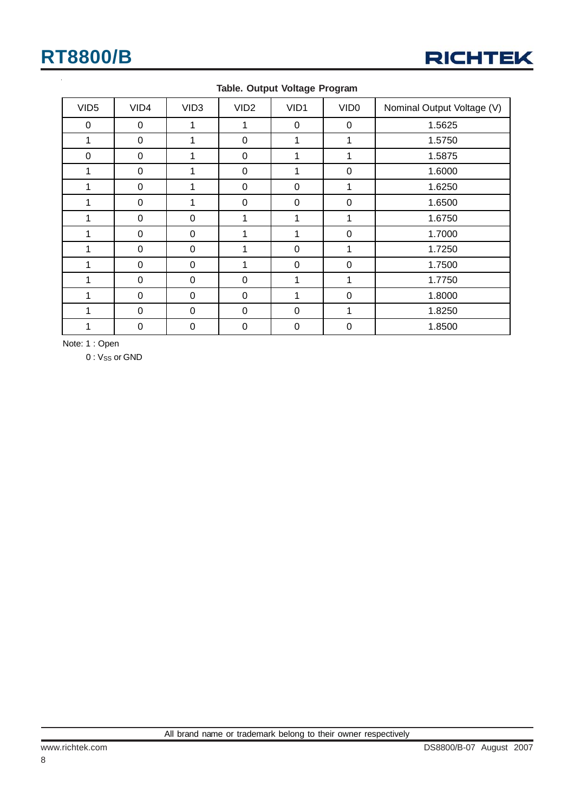

| VID <sub>5</sub> | VID4     | VID <sub>3</sub> | VID <sub>2</sub> | VID1        | VID <sub>0</sub> | Nominal Output Voltage (V) |
|------------------|----------|------------------|------------------|-------------|------------------|----------------------------|
| 0                | 0        | 1                | 1                | 0           | 0                | 1.5625                     |
| 1                | 0        | 4                | 0                | 1           | 1                | 1.5750                     |
| $\mathbf 0$      | $\Omega$ | 1                | 0                | 1           | 1                | 1.5875                     |
| 1                | 0        | 1                | $\pmb{0}$        | 1           | $\boldsymbol{0}$ | 1.6000                     |
|                  | 0        | 1                | 0                | $\mathbf 0$ | 1                | 1.6250                     |
| 1                | 0        | 1                | 0                | $\mathbf 0$ | $\mathbf 0$      | 1.6500                     |
|                  | 0        | $\Omega$         | 1                | 1           | 1                | 1.6750                     |
| 1                | $\Omega$ | 0                | 1                | 1           | 0                | 1.7000                     |
|                  | 0        | 0                | 1                | $\mathbf 0$ |                  | 1.7250                     |
| 1                | $\Omega$ | $\Omega$         | $\mathbf{1}$     | $\mathbf 0$ | $\mathbf 0$      | 1.7500                     |
| 1                | 0        | 0                | $\boldsymbol{0}$ | 1           | 1                | 1.7750                     |
| 1                | 0        | 0                | 0                | 1           | $\mathbf 0$      | 1.8000                     |
| 4                | 0        | $\Omega$         | 0                | 0           | 1                | 1.8250                     |
|                  | 0        | $\Omega$         | 0                | 0           | 0                | 1.8500                     |

#### **Table. Output Voltage Program**

Note: 1 : Open

0 : V<sub>SS</sub> or GND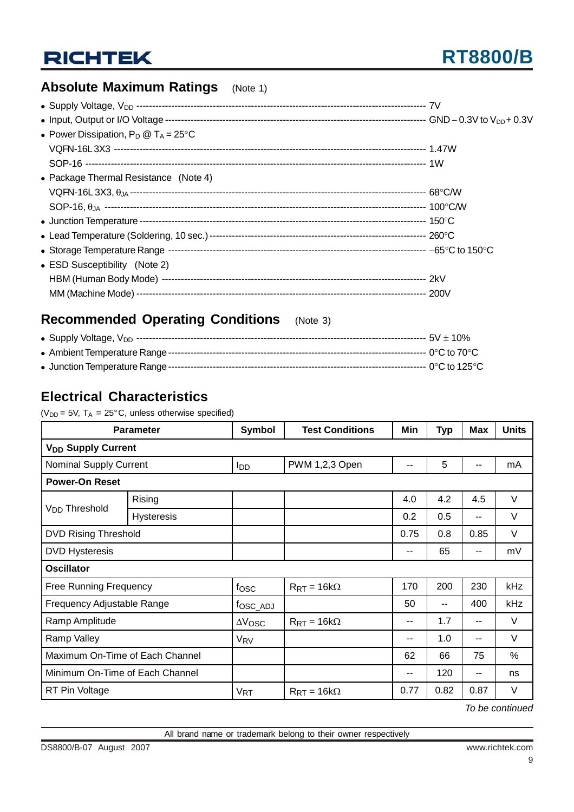## **Absolute Maximum Ratings** (Note 1)

| • Power Dissipation, $P_D @ T_A = 25^{\circ}C$ |  |
|------------------------------------------------|--|
|                                                |  |
|                                                |  |
| • Package Thermal Resistance (Note 4)          |  |
|                                                |  |
|                                                |  |
|                                                |  |
|                                                |  |
|                                                |  |
| • ESD Susceptibility (Note 2)                  |  |
|                                                |  |
|                                                |  |

## **Recommended Operating Conditions** (Note 3)

| Supply '<br>V DD<br>$\bullet$ : | no.<br>ົ້າ V |
|---------------------------------|--------------|
|---------------------------------|--------------|

|--|--|--|--|--|--|

|--|--|--|--|--|

## **Electrical Characteristics**

( $V_{DD}$  = 5V,  $T_A$  = 25°C, unless otherwise specified)

| <b>Parameter</b>                |                                      | <b>Symbol</b>          | <b>Test Conditions</b>   | Min                      | <b>Typ</b> | <b>Max</b>    | <b>Units</b> |
|---------------------------------|--------------------------------------|------------------------|--------------------------|--------------------------|------------|---------------|--------------|
|                                 | <b>V<sub>DD</sub></b> Supply Current |                        |                          |                          |            |               |              |
| <b>Nominal Supply Current</b>   |                                      | <b>I</b> <sub>DD</sub> | PWM 1,2,3 Open           | $- -$                    | 5          | --            | mA           |
| <b>Power-On Reset</b>           |                                      |                        |                          |                          |            |               |              |
|                                 | Rising                               |                        |                          | 4.0                      | 4.2        | 4.5           | V            |
| V <sub>DD</sub> Threshold       | <b>Hysteresis</b>                    |                        |                          | 0.2                      | 0.5        | --            | V            |
| <b>DVD Rising Threshold</b>     |                                      |                        |                          | 0.75                     | 0.8        | 0.85          | V            |
| <b>DVD Hysteresis</b>           |                                      |                        |                          | $\overline{\phantom{a}}$ | 65         | $\sim$ $\sim$ | mV           |
| <b>Oscillator</b>               |                                      |                        |                          |                          |            |               |              |
| <b>Free Running Frequency</b>   |                                      | fosc                   | $R_{RT} = 16k\Omega$     | 170                      | 200        | 230           | kHz          |
| Frequency Adjustable Range      |                                      | fosc_ADJ               |                          | 50                       | $- -$      | 400           | kHz          |
| Ramp Amplitude                  |                                      | $\Delta V$ OSC         | $R_{\rm RT} = 16k\Omega$ | $- -$                    | 1.7        | --            | $\vee$       |
| Ramp Valley                     |                                      | <b>V<sub>RV</sub></b>  |                          | $- -$                    | 1.0        | --            | V            |
| Maximum On-Time of Each Channel |                                      |                        |                          | 62                       | 66         | 75            | %            |
| Minimum On-Time of Each Channel |                                      |                        |                          | $- -$                    | 120        | --            | ns           |
| RT Pin Voltage                  |                                      | $V_{RT}$               | $R_{RT} = 16k\Omega$     | 0.77                     | 0.82       | 0.87          | V            |

*To be continued*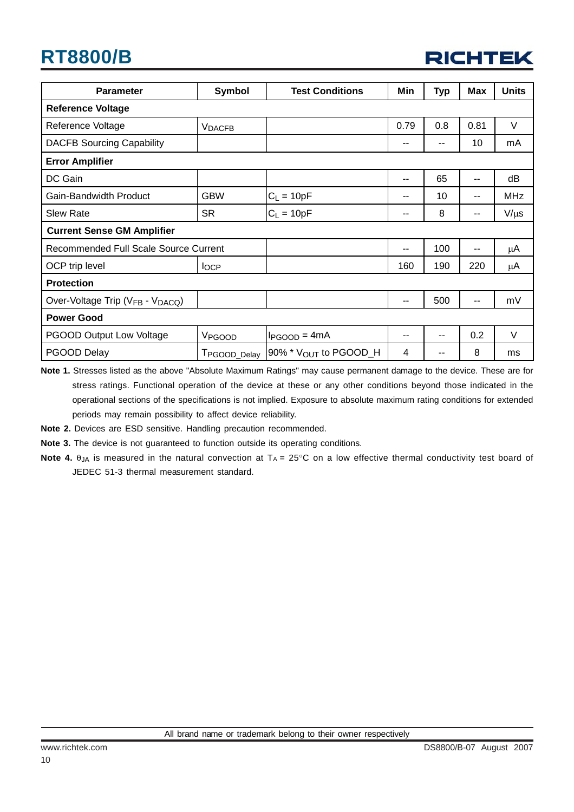

| <b>Parameter</b>                      | <b>Symbol</b>      | <b>Test Conditions</b>              | Min           | <b>Typ</b> | <b>Max</b> | <b>Units</b> |
|---------------------------------------|--------------------|-------------------------------------|---------------|------------|------------|--------------|
| <b>Reference Voltage</b>              |                    |                                     |               |            |            |              |
| Reference Voltage                     | <b>VDACFB</b>      |                                     | 0.79          | 0.8        | 0.81       | V            |
| <b>DACFB Sourcing Capability</b>      |                    |                                     | --            | --         | 10         | mA           |
| <b>Error Amplifier</b>                |                    |                                     |               |            |            |              |
| DC Gain                               |                    |                                     | $\sim$ $\sim$ | 65         | --         | dB           |
| Gain-Bandwidth Product                | <b>GBW</b>         | $C_L = 10pF$                        | --            | 10         | --         | <b>MHz</b>   |
| <b>Slew Rate</b>                      | <b>SR</b>          | $C_L = 10pF$                        | $\sim$ $\sim$ | 8          | --         | $V/\mu s$    |
| <b>Current Sense GM Amplifier</b>     |                    |                                     |               |            |            |              |
| Recommended Full Scale Source Current |                    |                                     | $\sim$ $\sim$ | 100        | --         | μA           |
| OCP trip level                        | $I_{OCP}$          |                                     | 160           | 190        | 220        | $\mu$ A      |
| <b>Protection</b>                     |                    |                                     |               |            |            |              |
| Over-Voltage Trip (VFB - VDACQ)       |                    |                                     | $\sim$ $\sim$ | 500        | --         | mV           |
| <b>Power Good</b>                     |                    |                                     |               |            |            |              |
| <b>PGOOD Output Low Voltage</b>       | V <sub>PGOOD</sub> | $I_{PGOOD} = 4mA$                   | $- -$         | --         | 0.2        | V            |
| PGOOD Delay                           | TPGOOD_Delay       | 90% $*$ $V_{\text{OUT}}$ to PGOOD_H | 4             |            | 8          | ms           |

**Note 1.** Stresses listed as the above "Absolute Maximum Ratings" may cause permanent damage to the device. These are for stress ratings. Functional operation of the device at these or any other conditions beyond those indicated in the operational sections of the specifications is not implied. Exposure to absolute maximum rating conditions for extended periods may remain possibility to affect device reliability.

**Note 2.** Devices are ESD sensitive. Handling precaution recommended.

**Note 3.** The device is not guaranteed to function outside its operating conditions.

**Note 4.**  $\theta_{JA}$  is measured in the natural convection at  $T_A = 25^\circ \text{C}$  on a low effective thermal conductivity test board of JEDEC 51-3 thermal measurement standard.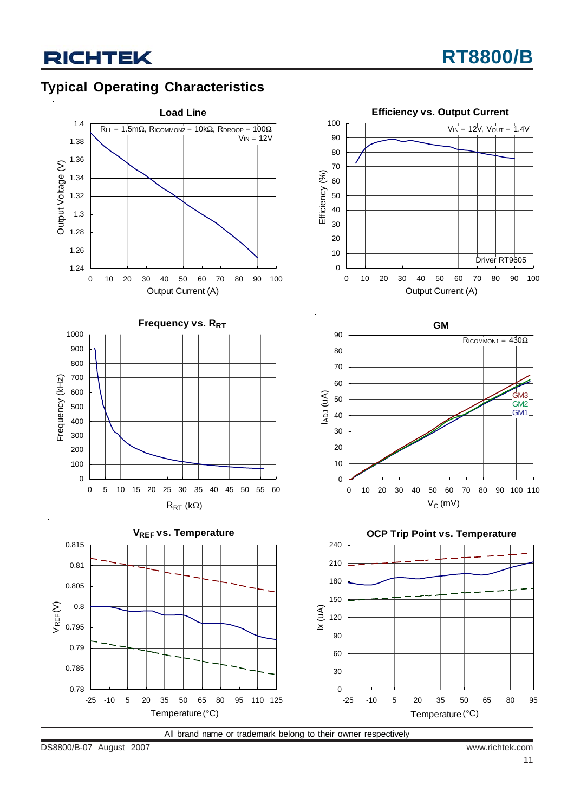## **Typical Operating Characteristics**



All brand name or trademark belong to their owner respectively

DS8800/B-07 August 2007 www.richtek.com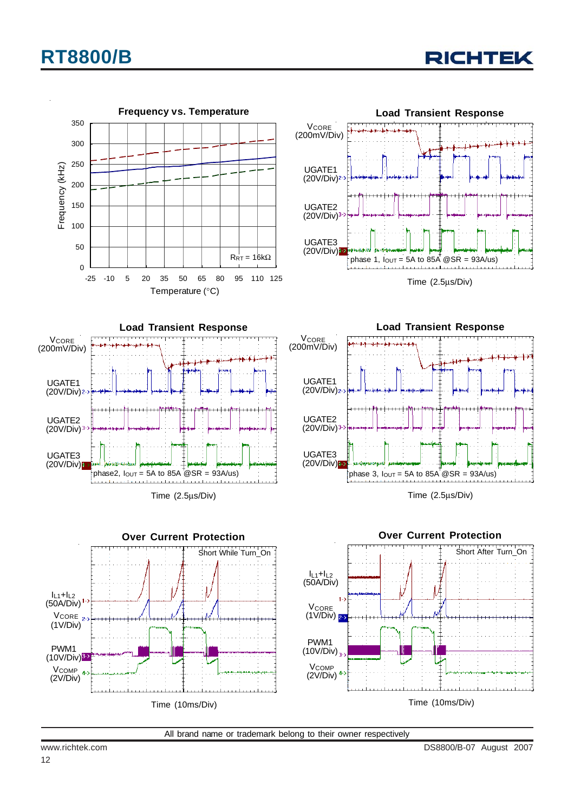

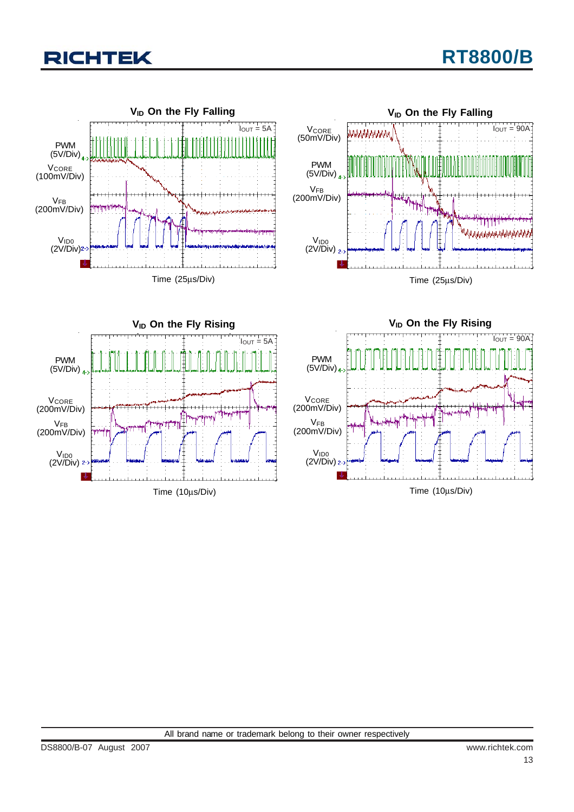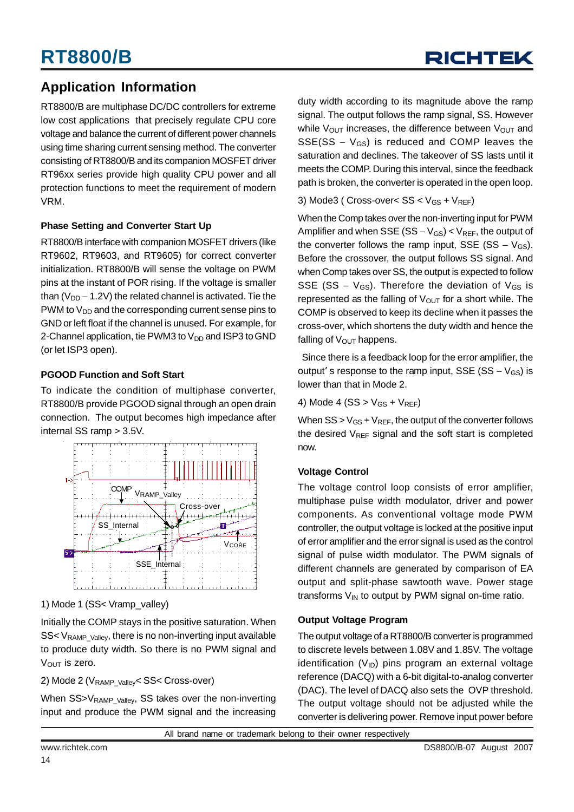## **Application Information**

RT8800/B are multiphase DC/DC controllers for extreme low cost applications that precisely regulate CPU core voltage and balance the current of different power channels using time sharing current sensing method. The converter consisting of RT8800/B and its companion MOSFET driver RT96xx series provide high quality CPU power and all protection functions to meet the requirement of modern VRM.

### **Phase Setting and Converter Start Up**

RT8800/B interface with companion MOSFET drivers (like RT9602, RT9603, and RT9605) for correct converter initialization. RT8800/B will sense the voltage on PWM pins at the instant of POR rising. If the voltage is smaller than ( $V_{DD}$  – 1.2V) the related channel is activated. Tie the PWM to  $V_{DD}$  and the corresponding current sense pins to GND or left float if the channel is unused. For example, for 2-Channel application, tie PWM3 to  $V_{DD}$  and ISP3 to GND (or let ISP3 open).

### **PGOOD Function and Soft Start**

To indicate the condition of multiphase converter, RT8800/B provide PGOOD signal through an open drain connection. The output becomes high impedance after internal SS ramp > 3.5V.



1) Mode 1 (SS< Vramp\_valley)

Initially the COMP stays in the positive saturation. When  $SS < V_{\text{RAMP~Vallev}}$ , there is no non-inverting input available to produce duty width. So there is no PWM signal and  $V<sub>OUT</sub>$  is zero.

2) Mode 2 (V<sub>RAMP\_Valley</sub> < SS< Cross-over)

When SS>V<sub>RAMP\_Valley</sub>, SS takes over the non-inverting input and produce the PWM signal and the increasing duty width according to its magnitude above the ramp signal. The output follows the ramp signal, SS. However while  $V_{\text{OUT}}$  increases, the difference between  $V_{\text{OUT}}$  and  $SSE(SS - V_{GS})$  is reduced and COMP leaves the saturation and declines. The takeover of SS lasts until it meets the COMP. During this interval, since the feedback path is broken, the converter is operated in the open loop.

3) Mode3 (  $Cross-over < SS < V_{GS} + V_{REF}$ )

When the Comp takes over the non-inverting input for PWM Amplifier and when SSE (SS –  $V_{GS}$ ) <  $V_{REF}$ , the output of the converter follows the ramp input, SSE (SS –  $V_{GS}$ ). Before the crossover, the output follows SS signal. And when Comp takes over SS, the output is expected to follow SSE (SS –  $V_{GS}$ ). Therefore the deviation of  $V_{GS}$  is represented as the falling of  $V_{\text{OUT}}$  for a short while. The COMP is observed to keep its decline when it passes the cross-over, which shortens the duty width and hence the falling of  $V_{\text{OUT}}$  happens.

 Since there is a feedback loop for the error amplifier, the output' s response to the ramp input, SSE (SS –  $V_{GS}$ ) is lower than that in Mode 2.

4) Mode 4 (SS  $>$  V<sub>GS</sub> + V<sub>REF</sub>)

When  $SS > V_{GS} + V_{REF}$ , the output of the converter follows the desired  $V_{REF}$  signal and the soft start is completed now.

### **Voltage Control**

The voltage control loop consists of error amplifier, multiphase pulse width modulator, driver and power components. As conventional voltage mode PWM controller, the output voltage is locked at the positive input of error amplifier and the error signal is used as the control signal of pulse width modulator. The PWM signals of different channels are generated by comparison of EA output and split-phase sawtooth wave. Power stage transforms  $V_{IN}$  to output by PWM signal on-time ratio.

#### **Output Voltage Program**

The output voltage of a RT8800/B converter is programmed to discrete levels between 1.08V and 1.85V. The voltage identification  $(V_{ID})$  pins program an external voltage reference (DACQ) with a 6-bit digital-to-analog converter (DAC). The level of DACQ also sets the OVP threshold. The output voltage should not be adjusted while the converter is delivering power. Remove input power before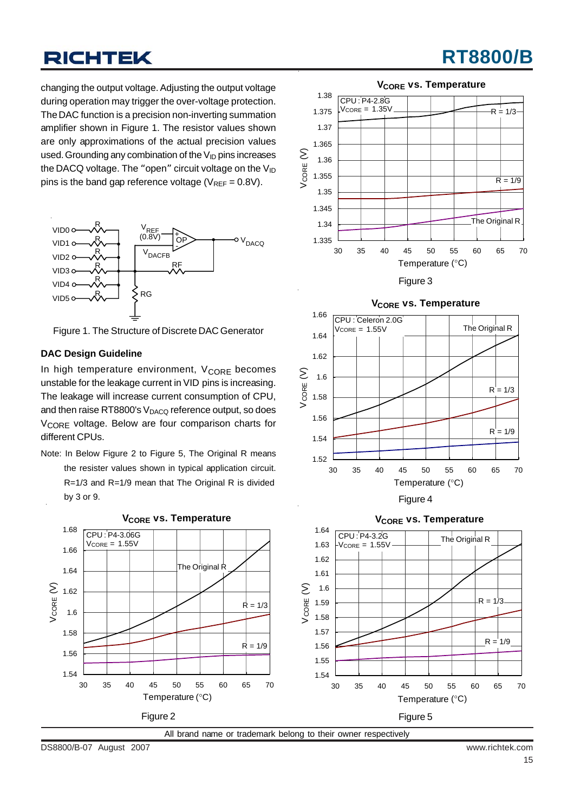# **RT8800/B**

changing the output voltage. Adjusting the output voltage during operation may trigger the over-voltage protection. The DAC function is a precision non-inverting summation amplifier shown in Figure 1. The resistor values shown are only approximations of the actual precision values used. Grounding any combination of the  $V_{\text{ID}}$  pins increases the DACQ voltage. The "open" circuit voltage on the  $V_{ID}$ pins is the band gap reference voltage ( $V_{REF} = 0.8V$ ).



Figure 1. The Structure of Discrete DAC Generator

#### **DAC Design Guideline**

In high temperature environment,  $V_{\text{CORE}}$  becomes unstable for the leakage current in VID pins is increasing. The leakage will increase current consumption of CPU, and then raise RT8800's  $V_{\text{DACQ}}$  reference output, so does V<sub>CORE</sub> voltage. Below are four comparison charts for different CPUs.

Note: In Below Figure 2 to Figure 5, The Original R means the resister values shown in typical application circuit. R=1/3 and R=1/9 mean that The Original R is divided by 3 or 9.



**V<sub>CORE</sub>** vs. Temperature



Figure 3



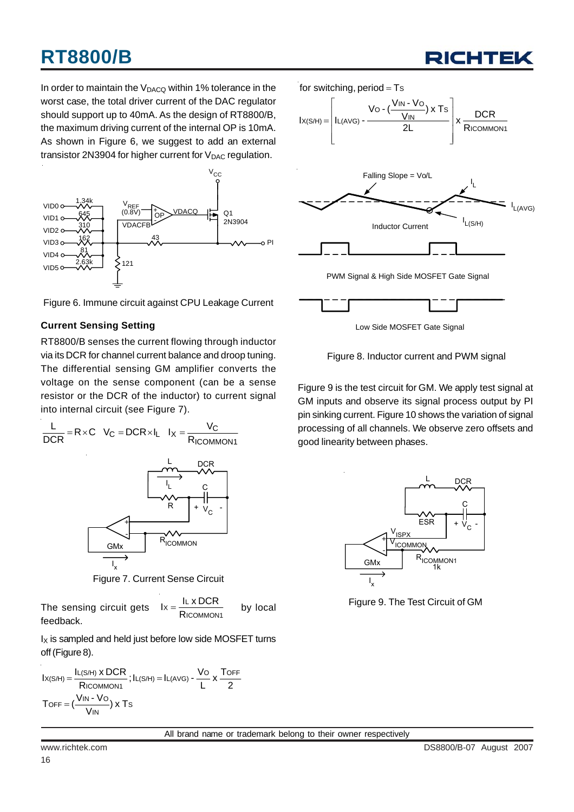In order to maintain the  $V_{DACQ}$  within 1% tolerance in the worst case, the total driver current of the DAC regulator should support up to 40mA. As the design of RT8800/B, the maximum driving current of the internal OP is 10mA. As shown in Figure 6, we suggest to add an external transistor 2N3904 for higher current for  $V_{DAC}$  regulation.



Figure 6. Immune circuit against CPU Leakage Current

#### **Current Sensing Setting**

RT8800/B senses the current flowing through inductor via its DCR for channel current balance and droop tuning. The differential sensing GM amplifier converts the voltage on the sense component (can be a sense resistor or the DCR of the inductor) to current signal into internal circuit (see Figure 7).



Figure 7. Current Sense Circuit

The sensing circuit gets 
$$
1x = \frac{I_L \times DCR}{Ricommon_1}
$$
 by local

 $I_X$  is sampled and held just before low side MOSFET turns off (Figure 8).

$$
I_{X(S/H)} = \frac{I_{L(S/H)} \times DCR}{Ricommon1}; I_{L(S/H)} = I_{L(AVG)} - \frac{V_{O}}{L} \times \frac{T_{OFF}}{2}
$$
  
Toff =  $(\frac{V_{IN} - V_{O}}{V_{IN}}) \times T_{S}$ 



RICHTEI

Low Side MOSFET Gate Signal

Figure 8. Inductor current and PWM signal

Figure 9 is the test circuit for GM. We apply test signal at GM inputs and observe its signal process output by PI pin sinking current. Figure 10 shows the variation of signal processing of all channels. We observe zero offsets and good linearity between phases.



Figure 9. The Test Circuit of GM

All brand name or trademark belong to their owner respectively

feedback.

16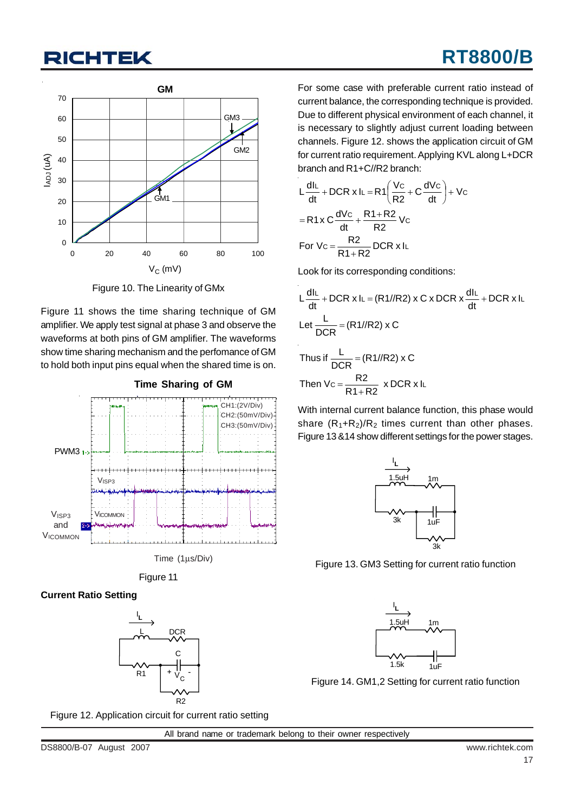

Figure 10. The Linearity of GMx

Figure 11 shows the time sharing technique of GM amplifier. We apply test signal at phase 3 and observe the waveforms at both pins of GM amplifier. The waveforms show time sharing mechanism and the perfomance of GM to hold both input pins equal when the shared time is on.







### **Current Ratio Setting**



For some case with preferable current ratio instead of current balance, the corresponding technique is provided. Due to different physical environment of each channel, it is necessary to slightly adjust current loading between channels. Figure 12. shows the application circuit of GM for current ratio requirement. Applying KVL along L+DCR branch and R1+C//R2 branch:

$$
L\frac{dl_L}{dt} + DCR \times IL = R1\left(\frac{V_C}{R2} + C\frac{dV_C}{dt}\right) + V_C
$$
  
= R1x C  $\frac{dV_C}{dt} + \frac{R1 + R2}{R2}V_C$   
For Vc =  $\frac{R2}{R1 + R2}$  DCR x IL

Look for its corresponding conditions:

$$
L\frac{dlL}{dt} + DCR \times IL = (R1//R2) \times C \times DCR \times \frac{dlL}{dt} + DCR \times IL
$$
  
Let 
$$
\frac{L}{DCR} = (R1//R2) \times C
$$
  
Thus if 
$$
\frac{L}{DCR} = (R1//R2) \times C
$$
  
Then 
$$
Vc = \frac{R2}{R1+R2} \times DCR \times IL
$$

With internal current balance function, this phase would share  $(R_1+R_2)/R_2$  times current than other phases. Figure 13 &14 show different settings for the power stages.



Figure 13. GM3 Setting for current ratio function



Figure 14. GM1,2 Setting for current ratio function

Figure 12. Application circuit for current ratio setting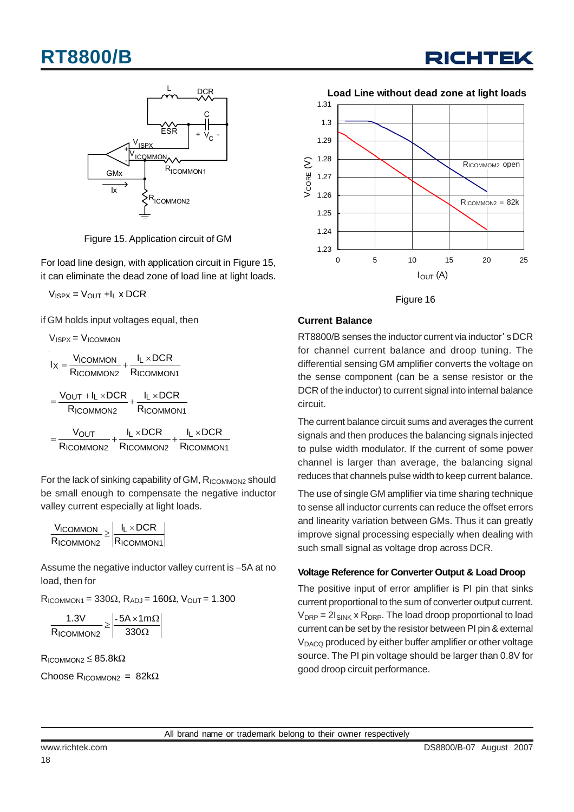



Figure 15. Application circuit of GM

For load line design, with application circuit in Figure 15, it can eliminate the dead zone of load line at light loads.

 $V_{ISPX} = V_{OUT} + I_L \times DCR$ 

if GM holds input voltages equal, then

$$
V_{ISPX} = V_{ICOMMON}
$$
\n
$$
I_X = \frac{V_{ICOMMON}}{R_{ICOMMON2}} + \frac{I_L \times DCR}{R_{ICOMMON1}}
$$
\n
$$
= \frac{V_{OUT} + I_L \times DCR}{R_{ICOMMON2}} + \frac{I_L \times DCR}{R_{ICOMMON1}}
$$
\n
$$
= \frac{V_{OUT}}{R_{ICOMMON2}} + \frac{I_L \times DCR}{R_{ICOMMON2}} + \frac{I_L \times DCR}{R_{ICOMMON1}}
$$

For the lack of sinking capability of GM, RICOMMON2 should be small enough to compensate the negative inductor valley current especially at light loads.

| $V_{\text{ICOMMON}}$ $\vert$ $I_L \times DCR$ |                                            |
|-----------------------------------------------|--------------------------------------------|
| RICOMMON2                                     | $\sqrt{\frac{1}{1}}$ RICOMMON <sub>1</sub> |

Assume the negative inductor valley current is −5A at no load, then for

 $R_{\text{ICOMMON1}} = 330\Omega$ ,  $R_{\text{ADJ}} = 160\Omega$ ,  $V_{\text{OUT}} = 1.300$ 

|                  | $-5A \times 1m\Omega$ |
|------------------|-----------------------|
| <b>RICOMMON2</b> | 3300                  |

 $R_{\text{ICOMMON2}} \leq 85.8 \text{k}\Omega$ 

Choose R<sub>ICOMMON2</sub> =  $82k\Omega$ 



Figure 16

### **Current Balance**

RT8800/B senses the inductor current via inductor' s DCR for channel current balance and droop tuning. The differential sensing GM amplifier converts the voltage on the sense component (can be a sense resistor or the DCR of the inductor) to current signal into internal balance circuit.

The current balance circuit sums and averages the current signals and then produces the balancing signals injected to pulse width modulator. If the current of some power channel is larger than average, the balancing signal reduces that channels pulse width to keep current balance.

The use of single GM amplifier via time sharing technique to sense all inductor currents can reduce the offset errors and linearity variation between GMs. Thus it can greatly improve signal processing especially when dealing with such small signal as voltage drop across DCR.

#### **Voltage Reference for Converter Output & Load Droop**

The positive input of error amplifier is PI pin that sinks current proportional to the sum of converter output current.  $V_{DRP} = 2I_{SINK} \times R_{DRP}$ . The load droop proportional to load current can be set by the resistor between PI pin & external V<sub>DACQ</sub> produced by either buffer amplifier or other voltage source. The PI pin voltage should be larger than 0.8V for good droop circuit performance.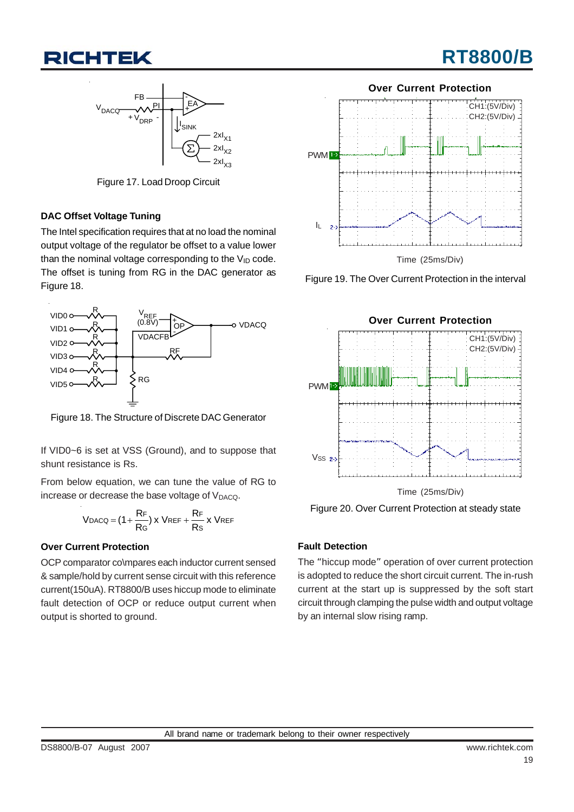



Figure 17. Load Droop Circuit

### **DAC Offset Voltage Tuning**

The Intel specification requires that at no load the nominal output voltage of the regulator be offset to a value lower than the nominal voltage corresponding to the  $V_{ID}$  code. The offset is tuning from RG in the DAC generator as Figure 18.



Figure 18. The Structure of Discrete DAC Generator

If VID0~6 is set at VSS (Ground), and to suppose that shunt resistance is Rs.

From below equation, we can tune the value of RG to increase or decrease the base voltage of V<sub>DACQ</sub>.

$$
V_{DACQ} = (1 + \frac{R_F}{R_G}) x V_{REF} + \frac{R_F}{Rs} x V_{REF}
$$

#### **Over Current Protection**

OCP comparator co\mpares each inductor current sensed & sample/hold by current sense circuit with this reference current(150uA). RT8800/B uses hiccup mode to eliminate fault detection of OCP or reduce output current when output is shorted to ground.



Figure 19. The Over Current Protection in the interval



Figure 20. Over Current Protection at steady state

### **Fault Detection**

The "hiccup mode" operation of over current protection is adopted to reduce the short circuit current. The in-rush current at the start up is suppressed by the soft start circuit through clamping the pulse width and output voltage by an internal slow rising ramp.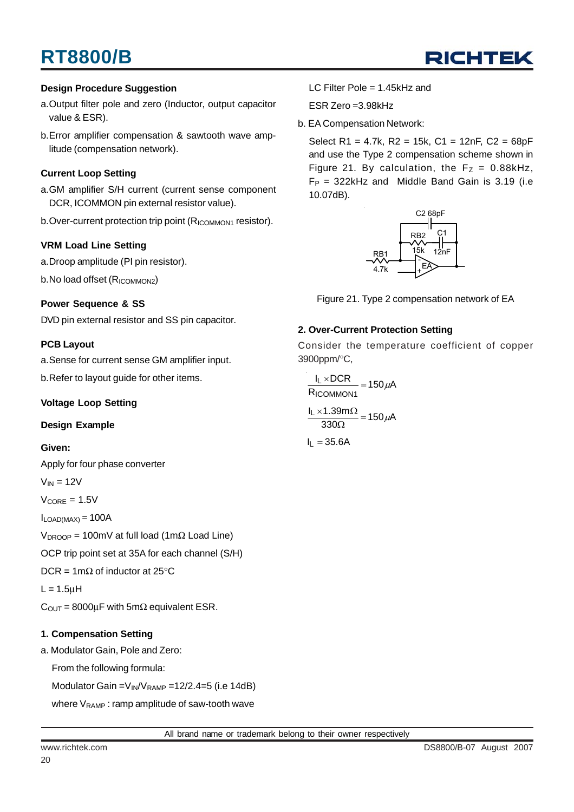

#### **Design Procedure Suggestion**

- a.Output filter pole and zero (Inductor, output capacitor value & ESR).
- b.Error amplifier compensation & sawtooth wave amplitude (compensation network).

#### **Current Loop Setting**

- a.GM amplifier S/H current (current sense component DCR, ICOMMON pin external resistor value).
- b.Over-current protection trip point (R<sub>ICOMMON1</sub> resistor).

#### **VRM Load Line Setting**

a.Droop amplitude (PI pin resistor).

b.No load offset (R<sub>ICOMMON2</sub>)

#### **Power Sequence & SS**

DVD pin external resistor and SS pin capacitor.

#### **PCB Layout**

a.Sense for current sense GM amplifier input.

b.Refer to layout guide for other items.

#### **Voltage Loop Setting**

#### **Design Example**

#### **Given:**

Apply for four phase converter

- $V_{IN} = 12V$
- $V_{\text{CORE}} = 1.5V$

 $I_{LOAD(MAX)} = 100A$ 

V<sub>DROOP</sub> = 100mV at full load (1mΩ Load Line)

OCP trip point set at 35A for each channel (S/H)

DCR = 1m $\Omega$  of inductor at 25°C

 $L = 1.5$ μH

 $C<sub>OUT</sub> = 8000\mu F$  with 5m $\Omega$  equivalent ESR.

#### **1. Compensation Setting**

a. Modulator Gain, Pole and Zero:

From the following formula:

Modulator Gain =  $V_{IN}/V_{RAMP}$  = 12/2.4=5 (i.e 14dB)

where  $V_{RAMP}$ : ramp amplitude of saw-tooth wave

LC Filter Pole = 1.45kHz and

ESR Zero =3.98kHz

b. EA Compensation Network:

Select R1 = 4.7k, R2 = 15k, C1 = 12nF, C2 = 68pF and use the Type 2 compensation scheme shown in Figure 21. By calculation, the  $F_Z = 0.88kHz$ ,  $F_P = 322$ kHz and Middle Band Gain is 3.19 (i.e 10.07dB).



Figure 21. Type 2 compensation network of EA

#### **2. Over-Current Protection Setting**

Consider the temperature coefficient of copper 3900ppm/°C,

 $\frac{1.55 \text{ m/s2}}{330 \Omega}$  = 150  $\mu$ A  $\frac{I_L \times 1.39 \text{m}\Omega}{330 \Omega} = 150 \mu$  $\frac{12 \times 60 \times 1}{R_{\text{ICOMMON1}}}$  = 150  $\mu$ A l<sub>L</sub> ×DCR ICOMMON1  $\frac{L \times DCR}{L} = 150 \mu$ 

 $I_L = 35.6A$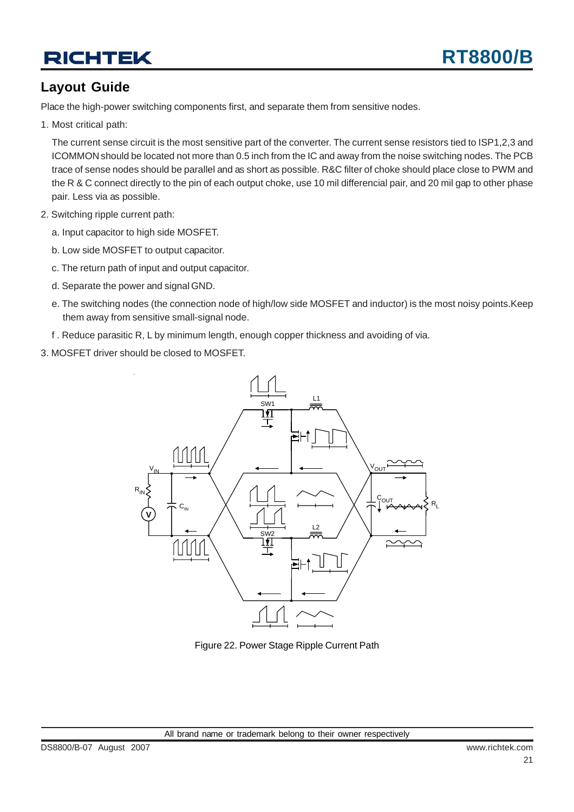## **Layout Guide**

Place the high-power switching components first, and separate them from sensitive nodes.

1. Most critical path:

The current sense circuit is the most sensitive part of the converter. The current sense resistors tied to ISP1,2,3 and ICOMMON should be located not more than 0.5 inch from the IC and away from the noise switching nodes. The PCB trace of sense nodes should be parallel and as short as possible. R&C filter of choke should place close to PWM and the R & C connect directly to the pin of each output choke, use 10 mil differencial pair, and 20 mil gap to other phase pair. Less via as possible.

- 2. Switching ripple current path:
	- a. Input capacitor to high side MOSFET.
	- b. Low side MOSFET to output capacitor.
	- c. The return path of input and output capacitor.
	- d. Separate the power and signal GND.
	- e. The switching nodes (the connection node of high/low side MOSFET and inductor) is the most noisy points.Keep them away from sensitive small-signal node.
	- f . Reduce parasitic R, L by minimum length, enough copper thickness and avoiding of via.
- 3. MOSFET driver should be closed to MOSFET.



Figure 22. Power Stage Ripple Current Path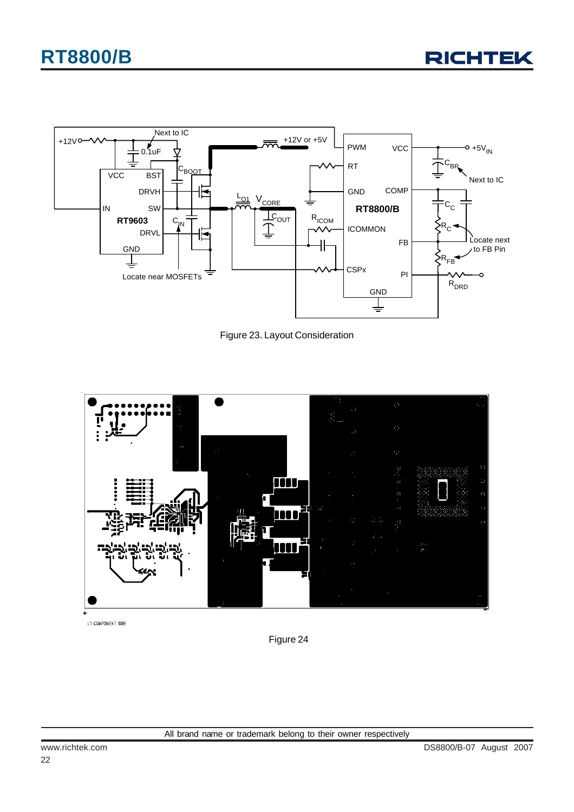



Figure 23. Layout Consideration



L1 COMPONENT SIDE

Figure 24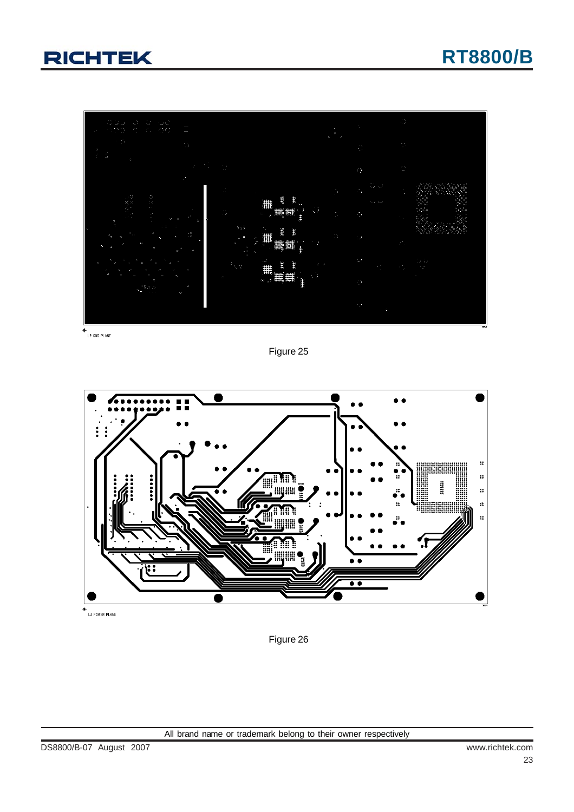

 $+$ <br>L2 GND PLANE

Figure 25



 $+$ <br>L3 POWER PLANE

Figure 26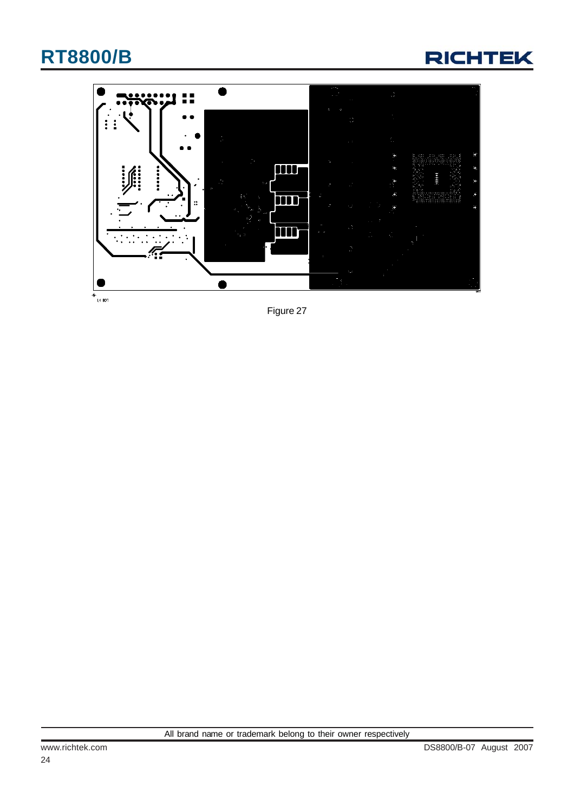



Figure 27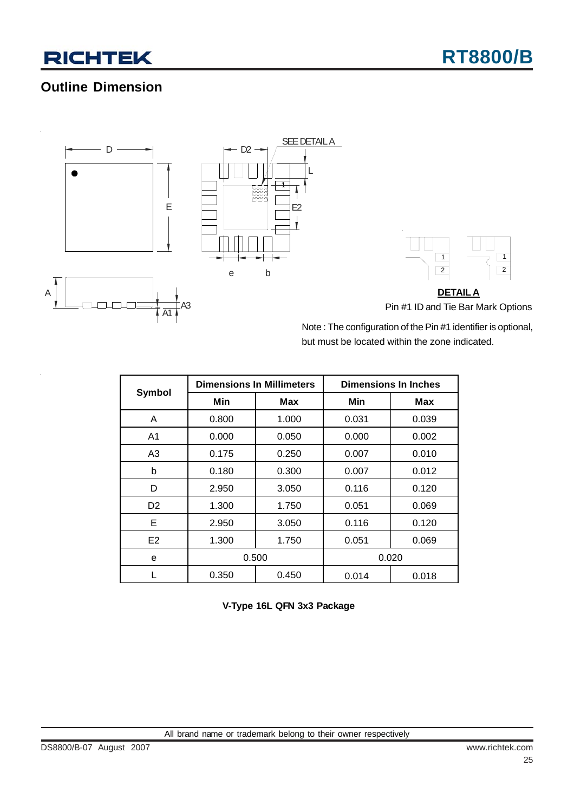## **Outline Dimension**







Note : The configuration of the Pin #1 identifier is optional, but must be located within the zone indicated.

|                |       | <b>Dimensions In Millimeters</b> | <b>Dimensions In Inches</b> |       |  |  |
|----------------|-------|----------------------------------|-----------------------------|-------|--|--|
| Symbol         | Min   | Max                              | Min                         | Max   |  |  |
| A              | 0.800 | 1.000                            | 0.031                       | 0.039 |  |  |
| A <sub>1</sub> | 0.000 | 0.050                            | 0.000                       | 0.002 |  |  |
| A <sub>3</sub> | 0.175 | 0.250                            | 0.007                       | 0.010 |  |  |
| b              | 0.180 | 0.300                            | 0.007                       | 0.012 |  |  |
| D              | 2.950 | 3.050                            | 0.116                       | 0.120 |  |  |
| D <sub>2</sub> | 1.300 | 1.750                            | 0.051                       | 0.069 |  |  |
| Е              | 2.950 | 3.050                            | 0.116                       | 0.120 |  |  |
| E2             | 1.300 | 1.750                            | 0.051                       | 0.069 |  |  |
| e              | 0.500 |                                  | 0.020                       |       |  |  |
|                | 0.350 | 0.450                            | 0.014                       | 0.018 |  |  |

L

**V-Type 16L QFN 3x3 Package**